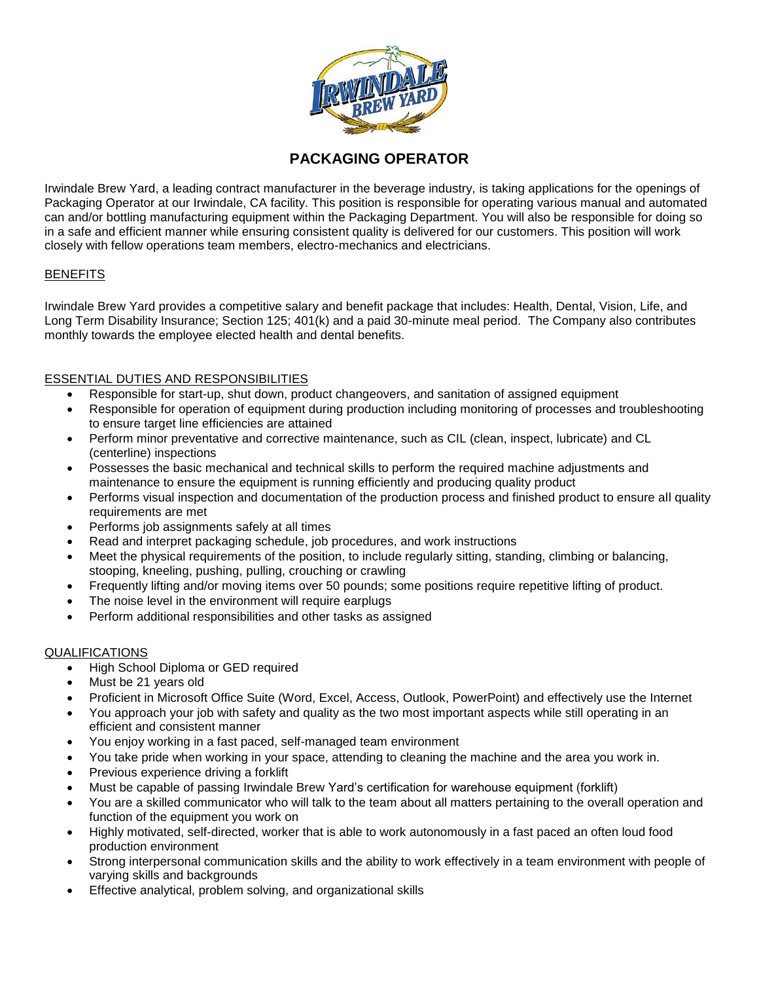

# **PACKAGING OPERATOR**

Irwindale Brew Yard, a leading contract manufacturer in the beverage industry, is taking applications for the openings of Packaging Operator at our Irwindale, CA facility. This position is responsible for operating various manual and automated can and/or bottling manufacturing equipment within the Packaging Department. You will also be responsible for doing so in a safe and efficient manner while ensuring consistent quality is delivered for our customers. This position will work closely with fellow operations team members, electro-mechanics and electricians.

### **BENEFITS**

Irwindale Brew Yard provides a competitive salary and benefit package that includes: Health, Dental, Vision, Life, and Long Term Disability Insurance; Section 125; 401(k) and a paid 30-minute meal period. The Company also contributes monthly towards the employee elected health and dental benefits.

## ESSENTIAL DUTIES AND RESPONSIBILITIES

- Responsible for start-up, shut down, product changeovers, and sanitation of assigned equipment
- Responsible for operation of equipment during production including monitoring of processes and troubleshooting to ensure target line efficiencies are attained
- Perform minor preventative and corrective maintenance, such as CIL (clean, inspect, lubricate) and CL (centerline) inspections
- Possesses the basic mechanical and technical skills to perform the required machine adjustments and maintenance to ensure the equipment is running efficiently and producing quality product
- Performs visual inspection and documentation of the production process and finished product to ensure all quality requirements are met
- Performs job assignments safely at all times
- Read and interpret packaging schedule, job procedures, and work instructions
- Meet the physical requirements of the position, to include regularly sitting, standing, climbing or balancing, stooping, kneeling, pushing, pulling, crouching or crawling
- Frequently lifting and/or moving items over 50 pounds; some positions require repetitive lifting of product.
- The noise level in the environment will require earplugs
- Perform additional responsibilities and other tasks as assigned

# QUALIFICATIONS

- High School Diploma or GED required
- Must be 21 years old
- Proficient in Microsoft Office Suite (Word, Excel, Access, Outlook, PowerPoint) and effectively use the Internet
- You approach your job with safety and quality as the two most important aspects while still operating in an efficient and consistent manner
- You enjoy working in a fast paced, self-managed team environment
- You take pride when working in your space, attending to cleaning the machine and the area you work in.
- Previous experience driving a forklift
- Must be capable of passing Irwindale Brew Yard's certification for warehouse equipment (forklift)
- You are a skilled communicator who will talk to the team about all matters pertaining to the overall operation and function of the equipment you work on
- Highly motivated, self-directed, worker that is able to work autonomously in a fast paced an often loud food production environment
- Strong interpersonal communication skills and the ability to work effectively in a team environment with people of varying skills and backgrounds
- Effective analytical, problem solving, and organizational skills